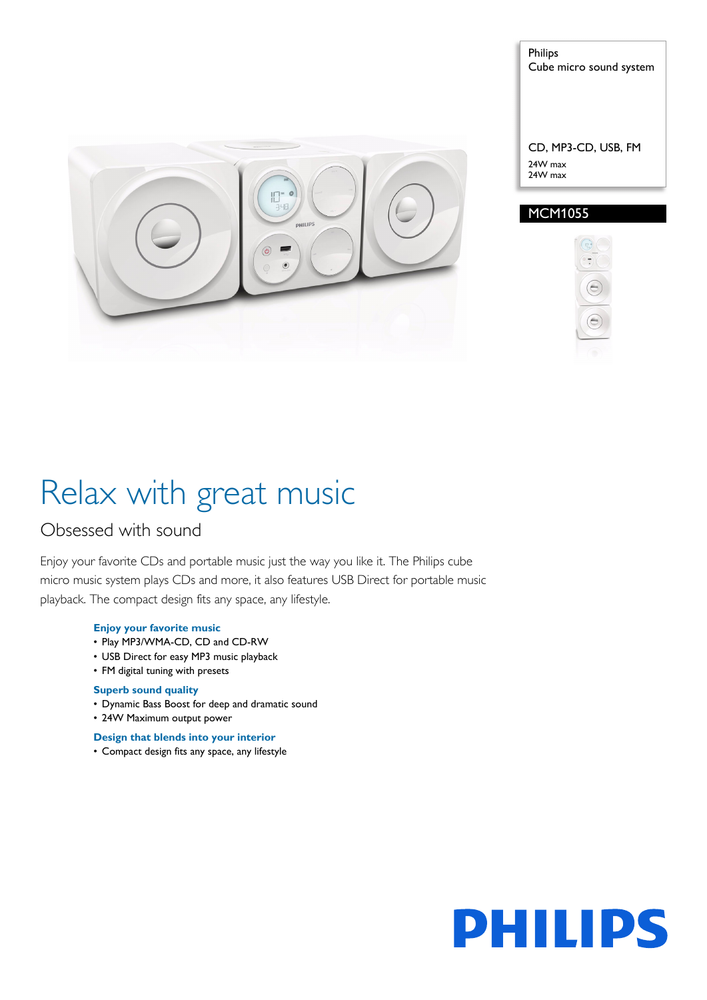

Cube micro sound system

CD, MP3-CD, USB, FM 24W max 24W max

### MCM1055

Philips



# Relax with great music

### Obsessed with sound

Enjoy your favorite CDs and portable music just the way you like it. The Philips cube micro music system plays CDs and more, it also features USB Direct for portable music playback. The compact design fits any space, any lifestyle.

### **Enjoy your favorite music**

- Play MP3/WMA-CD, CD and CD-RW
- USB Direct for easy MP3 music playback
- FM digital tuning with presets

#### **Superb sound quality**

- Dynamic Bass Boost for deep and dramatic sound
- 24W Maximum output power

**Design that blends into your interior**

• Compact design fits any space, any lifestyle